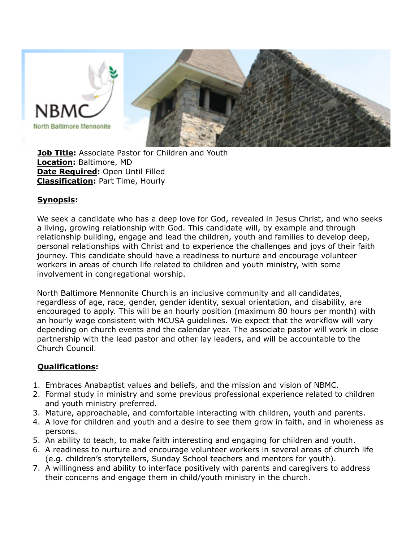

**Job Title:** Associate Pastor for Children and Youth **Location:** Baltimore, MD **Date Required:** Open Until Filled **Classification:** Part Time, Hourly

#### **Synopsis:**

We seek a candidate who has a deep love for God, revealed in Jesus Christ, and who seeks a living, growing relationship with God. This candidate will, by example and through relationship building, engage and lead the children, youth and families to develop deep, personal relationships with Christ and to experience the challenges and joys of their faith journey. This candidate should have a readiness to nurture and encourage volunteer workers in areas of church life related to children and youth ministry, with some involvement in congregational worship.

North Baltimore Mennonite Church is an inclusive community and all candidates, regardless of age, race, gender, gender identity, sexual orientation, and disability, are encouraged to apply. This will be an hourly position (maximum 80 hours per month) with an hourly wage consistent with MCUSA guidelines. We expect that the workflow will vary depending on church events and the calendar year. The associate pastor will work in close partnership with the lead pastor and other lay leaders, and will be accountable to the Church Council.

### **Qualifications:**

- 1. Embraces Anabaptist values and beliefs, and the mission and vision of NBMC.
- 2. Formal study in ministry and some previous professional experience related to children and youth ministry preferred.
- 3. Mature, approachable, and comfortable interacting with children, youth and parents.
- 4. A love for children and youth and a desire to see them grow in faith, and in wholeness as persons.
- 5. An ability to teach, to make faith interesting and engaging for children and youth.
- 6. A readiness to nurture and encourage volunteer workers in several areas of church life (e.g. children's storytellers, Sunday School teachers and mentors for youth).
- 7. A willingness and ability to interface positively with parents and caregivers to address their concerns and engage them in child/youth ministry in the church.